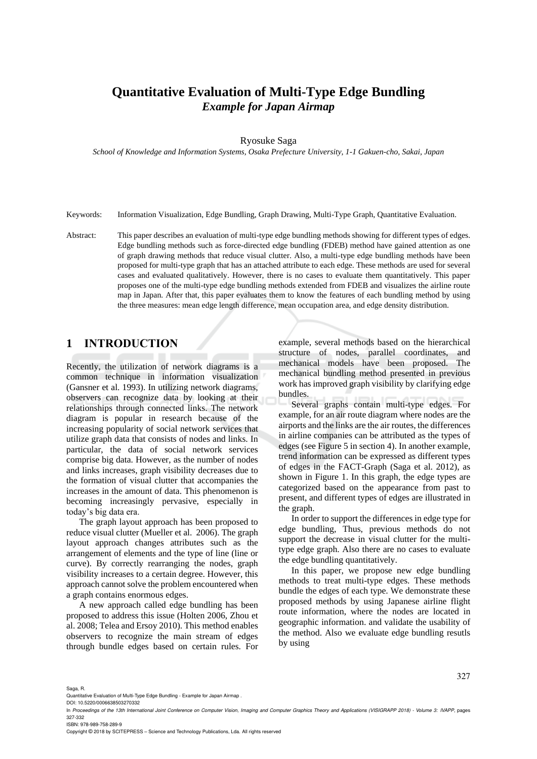# **Quantitative Evaluation of Multi-Type Edge Bundling**  *Example for Japan Airmap*

#### Ryosuke Saga

*School of Knowledge and Information Systems, Osaka Prefecture University, 1-1 Gakuen-cho, Sakai, Japan*

#### Keywords: Information Visualization, Edge Bundling, Graph Drawing, Multi-Type Graph, Quantitative Evaluation.

Abstract: This paper describes an evaluation of multi-type edge bundling methods showing for different types of edges. Edge bundling methods such as force-directed edge bundling (FDEB) method have gained attention as one of graph drawing methods that reduce visual clutter. Also, a multi-type edge bundling methods have been proposed for multi-type graph that has an attached attribute to each edge. These methods are used for several cases and evaluated qualitatively. However, there is no cases to evaluate them quantitatively. This paper proposes one of the multi-type edge bundling methods extended from FDEB and visualizes the airline route map in Japan. After that, this paper evaluates them to know the features of each bundling method by using the three measures: mean edge length difference, mean occupation area, and edge density distribution.

# **1 INTRODUCTION**

Recently, the utilization of network diagrams is a common technique in information visualization (Gansner et al. 1993). In utilizing network diagrams, observers can recognize data by looking at their relationships through connected links. The network diagram is popular in research because of the increasing popularity of social network services that utilize graph data that consists of nodes and links. In particular, the data of social network services comprise big data. However, as the number of nodes and links increases, graph visibility decreases due to the formation of visual clutter that accompanies the increases in the amount of data. This phenomenon is becoming increasingly pervasive, especially in today's big data era.

The graph layout approach has been proposed to reduce visual clutter (Mueller et al. 2006). The graph layout approach changes attributes such as the arrangement of elements and the type of line (line or curve). By correctly rearranging the nodes, graph visibility increases to a certain degree. However, this approach cannot solve the problem encountered when a graph contains enormous edges.

A new approach called edge bundling has been proposed to address this issue (Holten 2006, Zhou et al. 2008; Telea and Ersoy 2010). This method enables observers to recognize the main stream of edges through bundle edges based on certain rules. For

example, several methods based on the hierarchical structure of nodes, parallel coordinates, and mechanical models have been proposed. The mechanical bundling method presented in previous work has improved graph visibility by clarifying edge bundles.

Several graphs contain multi-type edges. For example, for an air route diagram where nodes are the airports and the links are the air routes, the differences in airline companies can be attributed as the types of edges (see Figure 5 in section 4). In another example, trend information can be expressed as different types of edges in the FACT-Graph (Saga et al. 2012), as shown in Figure 1. In this graph, the edge types are categorized based on the appearance from past to present, and different types of edges are illustrated in the graph.

In order to support the differences in edge type for edge bundling, Thus, previous methods do not support the decrease in visual clutter for the multitype edge graph. Also there are no cases to evaluate the edge bundling quantitatively.

In this paper, we propose new edge bundling methods to treat multi-type edges. These methods bundle the edges of each type. We demonstrate these proposed methods by using Japanese airline flight route information, where the nodes are located in geographic information. and validate the usability of the method. Also we evaluate edge bundling resutls by using

#### Saga, R.

DOI: 10.5220/0006638503270332

Copyright © 2018 by SCITEPRESS – Science and Technology Publications, Lda. All rights reserved

Quantitative Evaluation of Multi-Type Edge Bundling - Example for Japan Airmap .

In *Proceedings of the 13th International Joint Conference on Computer Vision, Imaging and Computer Graphics Theory and Applications (VISIGRAPP 2018) - Volume 3: IVAPP*, pages 327-332 ISBN: 978-989-758-289-9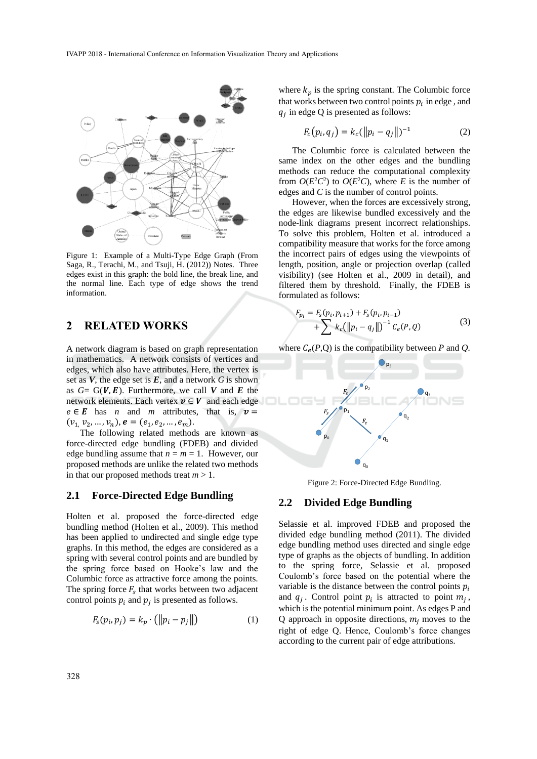

Figure 1: Example of a Multi-Type Edge Graph (From Saga, R., Terachi, M., and Tsuji, H. (2012)) Notes. Three edges exist in this graph: the bold line, the break line, and the normal line. Each type of edge shows the trend information.

# **2 RELATED WORKS**

A network diagram is based on graph representation in mathematics. A network consists of vertices and edges, which also have attributes. Here, the vertex is set as *V*, the edge set is *E*, and a network *G* is shown as  $G = G(V, E)$ . Furthermore, we call V and E the network elements. Each vertex  $v \in V$  and each edge  $e \in E$  has *n* and *m* attributes, that is,  $v =$  $(v_1, v_2, ..., v_n),$   $e = (e_1, e_2, ..., e_m).$ 

The following related methods are known as force-directed edge bundling (FDEB) and divided edge bundling assume that  $n = m = 1$ . However, our proposed methods are unlike the related two methods in that our proposed methods treat *m* > 1.

## **2.1 Force-Directed Edge Bundling**

Holten et al. proposed the force-directed edge bundling method (Holten et al., 2009). This method has been applied to undirected and single edge type graphs. In this method, the edges are considered as a spring with several control points and are bundled by the spring force based on Hooke's law and the Columbic force as attractive force among the points. The spring force  $F_s$  that works between two adjacent control points  $p_i$  and  $p_j$  is presented as follows.

$$
F_s(p_i, p_j) = k_p \cdot (\|p_i - p_j\|) \tag{1}
$$

where  $k_p$  is the spring constant. The Columbic force that works between two control points  $p_i$  in edge, and  $q_j$  in edge Q is presented as follows:

$$
F_c(p_i, q_j) = k_c(||p_i - q_j||)^{-1}
$$
 (2)

The Columbic force is calculated between the same index on the other edges and the bundling methods can reduce the computational complexity from  $O(E^2C^2)$  to  $O(E^2C)$ , where *E* is the number of edges and *C* is the number of control points.

However, when the forces are excessively strong, the edges are likewise bundled excessively and the node-link diagrams present incorrect relationships. To solve this problem, Holten et al. introduced a compatibility measure that works for the force among the incorrect pairs of edges using the viewpoints of length, position, angle or projection overlap (called visibility) (see Holten et al., 2009 in detail), and filtered them by threshold. Finally, the FDEB is formulated as follows:

$$
F_{p_i} = F_s(p_i, p_{i+1}) + F_s(p_i, p_{i-1}) + \sum_{k_c} k_c(||p_i - q_j||)^{-1} C_e(P, Q)
$$
\n(3)

where  $C_e(P,Q)$  is the compatibility between *P* and *Q*.



Figure 2: Force-Directed Edge Bundling.

#### **2.2 Divided Edge Bundling**

Selassie et al. improved FDEB and proposed the divided edge bundling method (2011). The divided edge bundling method uses directed and single edge type of graphs as the objects of bundling. In addition to the spring force, Selassie et al. proposed Coulomb's force based on the potential where the variable is the distance between the control points  $p_i$ and  $q_j$ . Control point  $p_i$  is attracted to point  $m_j$ , which is the potential minimum point. As edges P and Q approach in opposite directions,  $m_i$  moves to the right of edge Q. Hence, Coulomb's force changes according to the current pair of edge attributions.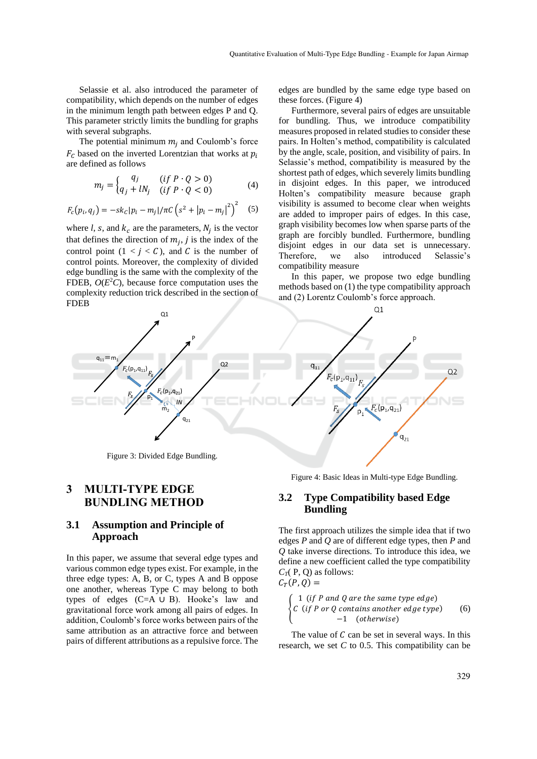Selassie et al. also introduced the parameter of compatibility, which depends on the number of edges in the minimum length path between edges P and Q. This parameter strictly limits the bundling for graphs with several subgraphs.

The potential minimum  $m_i$  and Coulomb's force  $F_c$  based on the inverted Lorentzian that works at  $p_i$ are defined as follows

$$
m_j = \begin{cases} q_j & (if \ P \cdot Q > 0) \\ q_j + lN_j & (if \ P \cdot Q < 0) \end{cases} \tag{4}
$$

$$
F_c(p_i, q_j) = -sk_c|p_i - m_j|/\pi C \left(s^2 + |p_i - m_j|^2\right)^2 \quad (5)
$$

where  $l$ ,  $s$ , and  $k_c$  are the parameters,  $N_j$  is the vector that defines the direction of  $m_j$ , j is the index of the control point  $(1 < j < C)$ , and C is the number of control points. Moreover, the complexity of divided edge bundling is the same with the complexity of the FDEB,  $O(E^2C)$ , because force computation uses the complexity reduction trick described in the section of FDEB

edges are bundled by the same edge type based on these forces. (Figure 4)

Furthermore, several pairs of edges are unsuitable for bundling. Thus, we introduce compatibility measures proposed in related studies to consider these pairs. In Holten's method, compatibility is calculated by the angle, scale, position, and visibility of pairs. In Selassie's method, compatibility is measured by the shortest path of edges, which severely limits bundling in disjoint edges. In this paper, we introduced Holten's compatibility measure because graph visibility is assumed to become clear when weights are added to improper pairs of edges. In this case, graph visibility becomes low when sparse parts of the graph are forcibly bundled. Furthermore, bundling disjoint edges in our data set is unnecessary. Therefore, we also introduced Selassie's compatibility measure

In this paper, we propose two edge bundling methods based on (1) the type compatibility approach and (2) Lorentz Coulomb's force approach.



# **3 MULTI-TYPE EDGE BUNDLING METHOD**

## **3.1 Assumption and Principle of Approach**

In this paper, we assume that several edge types and various common edge types exist. For example, in the three edge types: A, B, or C, types A and B oppose one another, whereas Type C may belong to both types of edges (C=A ∪ B). Hooke's law and gravitational force work among all pairs of edges. In addition, Coulomb's force works between pairs of the same attribution as an attractive force and between pairs of different attributions as a repulsive force. The Figure 4: Basic Ideas in Multi-type Edge Bundling.

# **3.2 Type Compatibility based Edge Bundling**

The first approach utilizes the simple idea that if two edges *P* and *Q* are of different edge types, then *P* and *Q* take inverse directions. To introduce this idea, we define a new coefficient called the type compatibility  $C_T(P, Q)$  as follows:  $C_T(P,Q) =$ 

$$
\begin{cases}\n1 (if P and Q are the same type edge) \\
C (if P or Q contains another edge type) \\
-1 (otherwise)\n\end{cases}
$$
\n(6)

The value of  $C$  can be set in several ways. In this research, we set *C* to 0.5. This compatibility can be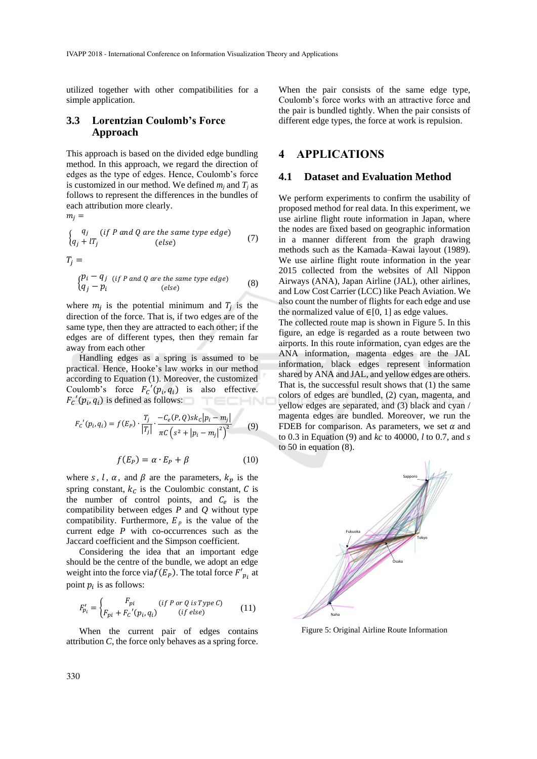utilized together with other compatibilities for a simple application.

## **3.3 Lorentzian Coulomb's Force Approach**

This approach is based on the divided edge bundling method. In this approach, we regard the direction of edges as the type of edges. Hence, Coulomb's force is customized in our method. We defined  $m_i$  and  $T_i$  as follows to represent the differences in the bundles of each attribution more clearly.

$$
m_j =
$$

$$
\begin{cases}\nq_j & (if P \text{ and } Q \text{ are the same type edge}) \\
q_j + lT_j & (else)\n\end{cases}
$$
\n(7)

$$
T_j =
$$

$$
\begin{cases}\n p_i - q_j & (if P \text{ and } Q \text{ are the same type edge}) \\
 q_j - p_i & (else)\n\end{cases}
$$
\n(8)

where  $m_j$  is the potential minimum and  $T_j$  is the direction of the force. That is, if two edges are of the same type, then they are attracted to each other; if the edges are of different types, then they remain far away from each other

Handling edges as a spring is assumed to be practical. Hence, Hooke's law works in our method according to Equation (1). Moreover, the customized Coulomb's force  $F_c' (p_i, q_i)$  is also effective.  $F_c' (p_i, q_i)$  is defined as follows: TECHN(

$$
F_c'(p_i, q_i) = f(E_P) \cdot \frac{T_j}{|T_j|} \cdot \frac{-C_e(P, Q)sk_C|p_i - m_j|}{\pi C \left(s^2 + |p_i - m_j|^2\right)^2} \tag{9}
$$

$$
f(E_P) = \alpha \cdot E_P + \beta \tag{10}
$$

where s, l,  $\alpha$ , and  $\beta$  are the parameters,  $k_p$  is the spring constant,  $k_c$  is the Coulombic constant,  $C$  is the number of control points, and  $C_e$  is the compatibility between edges *P* and *Q* without type compatibility. Furthermore,  $E_p$  is the value of the current edge *P* with co-occurrences such as the Jaccard coefficient and the Simpson coefficient.

Considering the idea that an important edge should be the centre of the bundle, we adopt an edge weight into the force via $f(E_p)$ . The total force  $F'_{pi}$  at point  $p_i$  is as follows:

$$
F'_{pi} = \begin{cases} F_{pi} & (if P or Q is Type C) \\ F_{pi} + F_c' (p_i, q_i) & (if else) \end{cases}
$$
(11)

When the current pair of edges contains attribution *C*, the force only behaves as a spring force.

When the pair consists of the same edge type, Coulomb's force works with an attractive force and the pair is bundled tightly. When the pair consists of different edge types, the force at work is repulsion.

## **4 APPLICATIONS**

#### **4.1 Dataset and Evaluation Method**

We perform experiments to confirm the usability of proposed method for real data. In this experiment, we use airline flight route information in Japan, where the nodes are fixed based on geographic information in a manner different from the graph drawing methods such as the Kamada–Kawai layout (1989). We use airline flight route information in the year 2015 collected from the websites of All Nippon Airways (ANA), Japan Airline (JAL), other airlines, and Low Cost Carrier (LCC) like Peach Aviation. We also count the number of flights for each edge and use the normalized value of  $\in [0, 1]$  as edge values.

The collected route map is shown in Figure 5. In this figure, an edge is regarded as a route between two airports. In this route information, cyan edges are the ANA information, magenta edges are the JAL information, black edges represent information shared by ANA and JAL, and yellow edges are others. That is, the successful result shows that (1) the same colors of edges are bundled, (2) cyan, magenta, and yellow edges are separated, and (3) black and cyan / magenta edges are bundled. Moreover, we run the FDEB for comparison. As parameters, we set  $\alpha$  and to 0.3 in Equation (9) and *kc* to 40000*, l* to 0.7, and *s* to 50 in equation (8).



Figure 5: Original Airline Route Information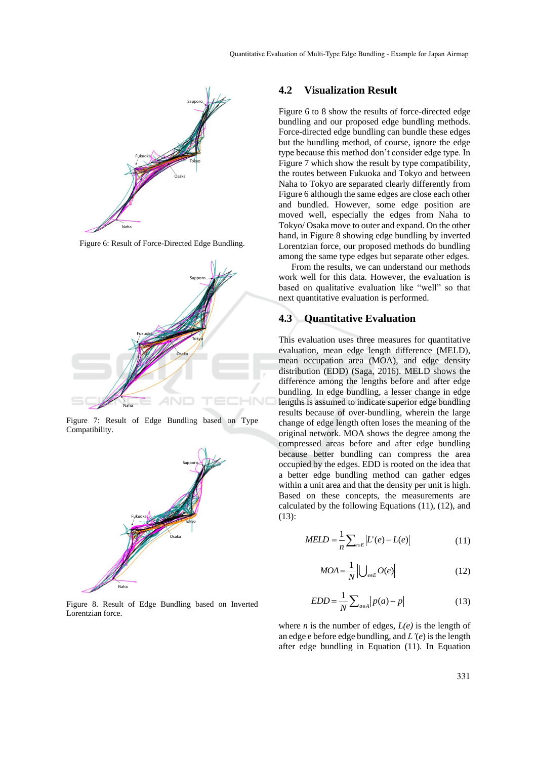

Figure 6: Result of Force-Directed Edge Bundling.



Figure 7: Result of Edge Bundling based on Type Compatibility.



Figure 8. Result of Edge Bundling based on Inverted Lorentzian force.

#### **4.2 Visualization Result**

Figure 6 to 8 show the results of force-directed edge bundling and our proposed edge bundling methods. Force-directed edge bundling can bundle these edges but the bundling method, of course, ignore the edge type because this method don't consider edge type. In Figure 7 which show the result by type compatibility, the routes between Fukuoka and Tokyo and between Naha to Tokyo are separated clearly differently from Figure 6 although the same edges are close each other and bundled. However, some edge position are moved well, especially the edges from Naha to Tokyo/ Osaka move to outer and expand. On the other hand, in Figure 8 showing edge bundling by inverted Lorentzian force, our proposed methods do bundling among the same type edges but separate other edges.

From the results, we can understand our methods work well for this data. However, the evaluation is based on qualitative evaluation like "well" so that next quantitative evaluation is performed.

### **4.3 Quantitative Evaluation**

This evaluation uses three measures for quantitative evaluation, mean edge length difference (MELD), mean occupation area (MOA), and edge density distribution (EDD) (Saga, 2016). MELD shows the difference among the lengths before and after edge bundling. In edge bundling, a lesser change in edge lengths is assumed to indicate superior edge bundling results because of over-bundling, wherein the large change of edge length often loses the meaning of the original network. MOA shows the degree among the compressed areas before and after edge bundling because better bundling can compress the area occupied by the edges. EDD is rooted on the idea that a better edge bundling method can gather edges within a unit area and that the density per unit is high. Based on these concepts, the measurements are calculated by the following Equations (11), (12), and (13):

$$
MELD = \frac{1}{n} \sum_{e \in E} |L'(e) - L(e)| \tag{11}
$$

$$
MOA = \frac{1}{N} \left| \bigcup_{e \in E} O(e) \right| \tag{12}
$$

$$
EDD = \frac{1}{N} \sum_{a \in A} |p(a) - p|
$$
\n(13)

where  $n$  is the number of edges,  $L(e)$  is the length of an edge e before edge bundling, and *L'*(*e*) is the length after edge bundling in Equation (11). In Equation